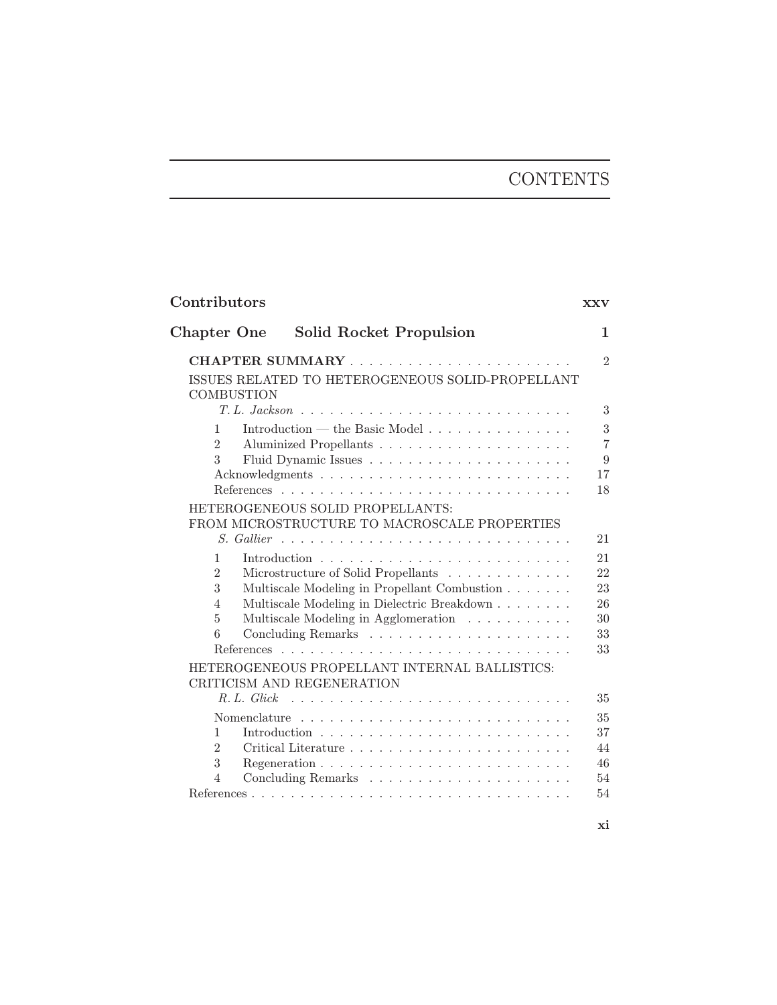# **CONTENTS**

| Contributors                                          | <b>XXV</b>          |
|-------------------------------------------------------|---------------------|
| <b>Chapter One</b><br>Solid Rocket Propulsion         | $\mathbf{1}$        |
|                                                       | $\overline{2}$      |
| ISSUES RELATED TO HETEROGENEOUS SOLID-PROPELLANT      |                     |
| <b>COMBUSTION</b>                                     |                     |
|                                                       | 3                   |
| Introduction — the Basic Model<br>1                   | 3                   |
| $\overline{2}$<br>3                                   | $\overline{7}$<br>9 |
|                                                       | 17                  |
|                                                       | 18                  |
| HETEROGENEOUS SOLID PROPELLANTS:                      |                     |
| FROM MICROSTRUCTURE TO MACROSCALE PROPERTIES          |                     |
| S. Gallier                                            | 21                  |
| 1                                                     | 21                  |
| $\overline{2}$<br>Microstructure of Solid Propellants | 22                  |
| 3<br>Multiscale Modeling in Propellant Combustion     | 23                  |
| Multiscale Modeling in Dielectric Breakdown<br>4      | 26                  |
| Multiscale Modeling in Agglomeration<br>5             | 30                  |
| 6                                                     | 33                  |
|                                                       | 33                  |
| HETEROGENEOUS PROPELLANT INTERNAL BALLISTICS:         |                     |
| CRITICISM AND REGENERATION                            |                     |
| R.L. Glick                                            | 35                  |
|                                                       | 35                  |
| $\mathbf{1}$                                          | 37                  |
| $\overline{2}$                                        | 44<br>46            |
| 3<br>$\overline{4}$                                   | 54                  |
|                                                       | 54                  |
|                                                       |                     |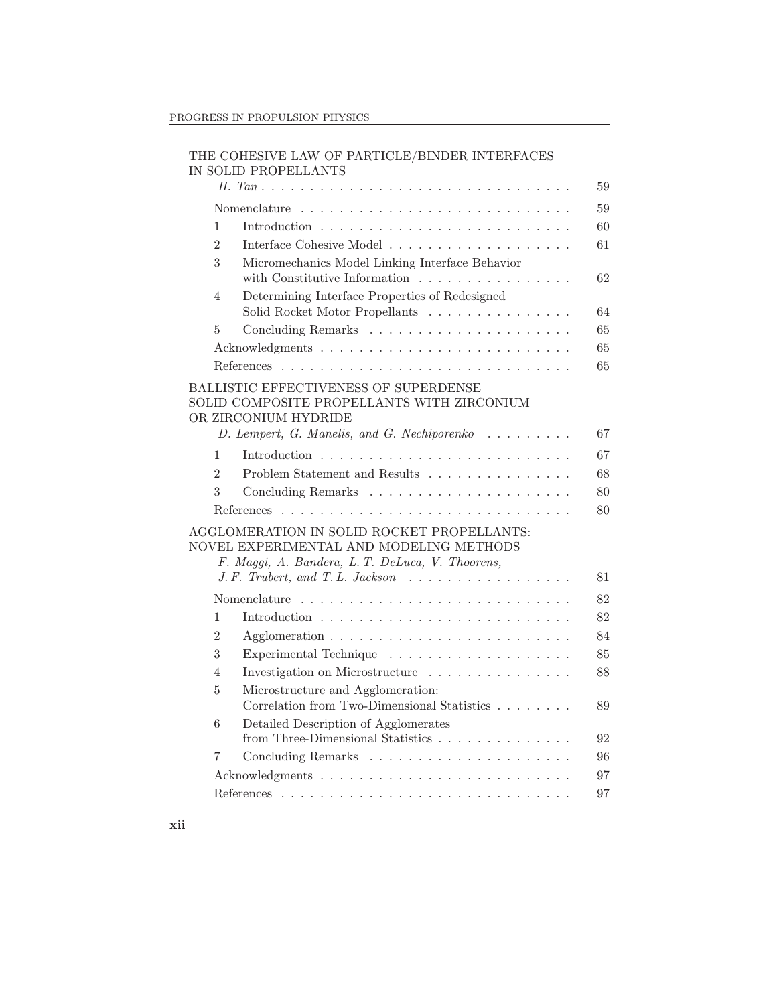| THE COHESIVE LAW OF PARTICLE/BINDER INTERFACES |  |
|------------------------------------------------|--|
| IN SOLID PROPELLANTS                           |  |

|                |                                                                                                                                                                                                                    | 59 |
|----------------|--------------------------------------------------------------------------------------------------------------------------------------------------------------------------------------------------------------------|----|
|                |                                                                                                                                                                                                                    | 59 |
| 1              |                                                                                                                                                                                                                    | 60 |
| $\overline{2}$ |                                                                                                                                                                                                                    | 61 |
| 3              | Micromechanics Model Linking Interface Behavior<br>with Constitutive Information $\ldots \ldots \ldots \ldots \ldots$                                                                                              | 62 |
| 4              | Determining Interface Properties of Redesigned<br>Solid Rocket Motor Propellants $\ldots \ldots \ldots \ldots \ldots$                                                                                              | 64 |
| 5              |                                                                                                                                                                                                                    | 65 |
|                |                                                                                                                                                                                                                    | 65 |
|                |                                                                                                                                                                                                                    | 65 |
|                | <b>BALLISTIC EFFECTIVENESS OF SUPERDENSE</b><br>SOLID COMPOSITE PROPELLANTS WITH ZIRCONIUM<br>OR ZIRCONIUM HYDRIDE<br>D. Lempert, G. Manelis, and G. Nechiporenko                                                  | 67 |
| $\mathbf{1}$   |                                                                                                                                                                                                                    | 67 |
| $\overline{2}$ | Problem Statement and Results $\dots \dots \dots \dots \dots$                                                                                                                                                      | 68 |
| 3              |                                                                                                                                                                                                                    | 80 |
|                |                                                                                                                                                                                                                    | 80 |
|                | AGGLOMERATION IN SOLID ROCKET PROPELLANTS:<br>NOVEL EXPERIMENTAL AND MODELING METHODS<br>F. Maggi, A. Bandera, L. T. DeLuca, V. Thoorens,<br>$J.F.$ Trubert, and T.L. Jackson $\ldots \ldots \ldots \ldots \ldots$ | 81 |
|                | Nomenclature                                                                                                                                                                                                       | 82 |
| $\mathbf{1}$   |                                                                                                                                                                                                                    | 82 |
| 2              |                                                                                                                                                                                                                    | 84 |
| 3              |                                                                                                                                                                                                                    | 85 |
| 4              | Investigation on Microstructure $\ldots \ldots \ldots \ldots \ldots$                                                                                                                                               | 88 |
| 5              | Microstructure and Agglomeration:<br>Correlation from Two-Dimensional Statistics                                                                                                                                   | 89 |
| 6              | Detailed Description of Agglomerates                                                                                                                                                                               | 92 |
| 7              |                                                                                                                                                                                                                    | 96 |
|                |                                                                                                                                                                                                                    | 97 |
|                |                                                                                                                                                                                                                    | 97 |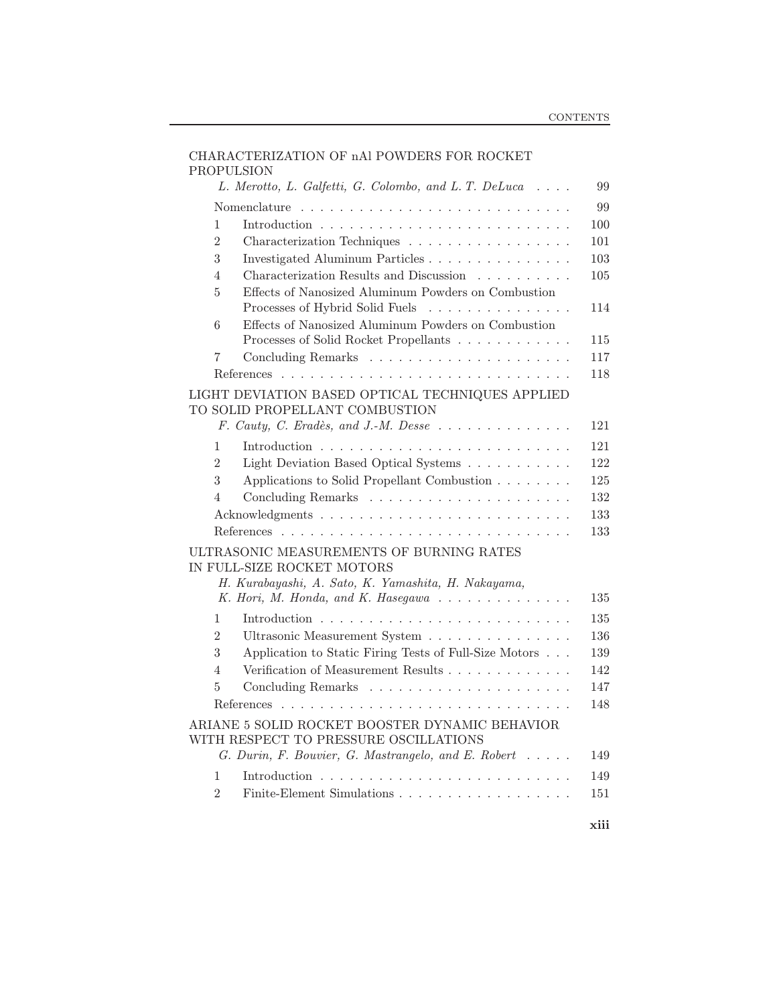| <b>PROPULSION</b> | CHARACTERIZATION OF nAl POWDERS FOR ROCKET                                                                                                            |
|-------------------|-------------------------------------------------------------------------------------------------------------------------------------------------------|
|                   | L. Merotto, L. Galfetti, G. Colombo, and L. T. DeLuca<br>99                                                                                           |
|                   | 99                                                                                                                                                    |
| 1                 | 100                                                                                                                                                   |
| $\overline{2}$    | 101<br>Characterization Techniques                                                                                                                    |
| 3                 | Investigated Aluminum Particles<br>103                                                                                                                |
| 4                 | Characterization Results and Discussion<br>105                                                                                                        |
| $\overline{5}$    | Effects of Nanosized Aluminum Powders on Combustion<br>Processes of Hybrid Solid Fuels<br>114                                                         |
| 6                 | Effects of Nanosized Aluminum Powders on Combustion                                                                                                   |
|                   | Processes of Solid Rocket Propellants<br>115                                                                                                          |
| 7                 | 117                                                                                                                                                   |
|                   | 118                                                                                                                                                   |
|                   | LIGHT DEVIATION BASED OPTICAL TECHNIQUES APPLIED<br>TO SOLID PROPELLANT COMBUSTION<br>F. Cauty, C. Eradès, and J.-M. Desse<br>121                     |
| $\mathbf{1}$      | 121                                                                                                                                                   |
| $\overline{2}$    | 122                                                                                                                                                   |
| 3                 | Light Deviation Based Optical Systems<br>125                                                                                                          |
| 4                 | Applications to Solid Propellant Combustion<br>132                                                                                                    |
|                   |                                                                                                                                                       |
|                   | 133                                                                                                                                                   |
|                   | 133                                                                                                                                                   |
|                   | ULTRASONIC MEASUREMENTS OF BURNING RATES<br>IN FULL-SIZE ROCKET MOTORS                                                                                |
|                   | H. Kurabayashi, A. Sato, K. Yamashita, H. Nakayama,                                                                                                   |
|                   | K. Hori, M. Honda, and K. Hasegawa<br>135                                                                                                             |
| 1                 | 135                                                                                                                                                   |
| $\overline{2}$    | 136<br>Ultrasonic Measurement System                                                                                                                  |
| 3                 | Application to Static Firing Tests of Full-Size Motors<br>139                                                                                         |
| 4                 | Verification of Measurement Results<br>142                                                                                                            |
| 5                 | 147                                                                                                                                                   |
|                   | 148                                                                                                                                                   |
|                   | ARIANE 5 SOLID ROCKET BOOSTER DYNAMIC BEHAVIOR<br>WITH RESPECT TO PRESSURE OSCILLATIONS<br>G. Durin, F. Bouvier, G. Mastrangelo, and E. Robert<br>149 |
| 1                 | 149                                                                                                                                                   |
| $\overline{2}$    | 151                                                                                                                                                   |
|                   | $-222$                                                                                                                                                |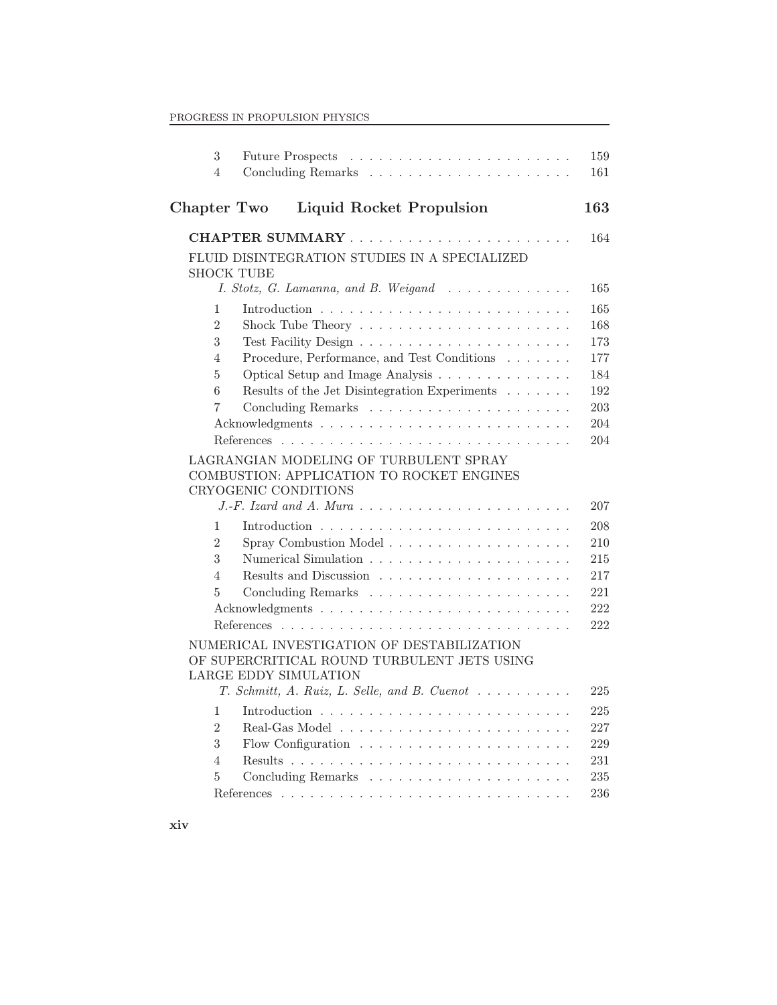| 3                 |                                                                             | 159 |
|-------------------|-----------------------------------------------------------------------------|-----|
| 4                 |                                                                             | 161 |
| Chapter Two       | <b>Liquid Rocket Propulsion</b>                                             | 163 |
|                   |                                                                             | 164 |
|                   | FLUID DISINTEGRATION STUDIES IN A SPECIALIZED                               |     |
| <b>SHOCK TUBE</b> |                                                                             |     |
|                   | I. Stotz, G. Lamanna, and B. Weigand                                        | 165 |
| 1                 |                                                                             | 165 |
| $\overline{2}$    |                                                                             | 168 |
| 3                 |                                                                             | 173 |
| $\overline{4}$    | Procedure, Performance, and Test Conditions $\ldots \ldots$                 | 177 |
| $\overline{5}$    | Optical Setup and Image Analysis                                            | 184 |
| 6                 | Results of the Jet Disintegration Experiments                               | 192 |
| $\overline{7}$    |                                                                             | 203 |
|                   |                                                                             | 204 |
|                   |                                                                             | 204 |
|                   | LAGRANGIAN MODELING OF TURBULENT SPRAY                                      |     |
|                   | COMBUSTION: APPLICATION TO ROCKET ENGINES                                   |     |
|                   | CRYOGENIC CONDITIONS                                                        | 207 |
|                   |                                                                             |     |
| 1                 |                                                                             | 208 |
| $\overline{2}$    |                                                                             | 210 |
| 3                 |                                                                             | 215 |
| $\overline{4}$    |                                                                             | 217 |
| $\overline{5}$    |                                                                             | 221 |
|                   |                                                                             | 222 |
|                   |                                                                             | 222 |
|                   | NUMERICAL INVESTIGATION OF DESTABILIZATION                                  |     |
|                   | OF SUPERCRITICAL ROUND TURBULENT JETS USING<br><b>LARGE EDDY SIMULATION</b> |     |
|                   | T. Schmitt, A. Ruiz, L. Selle, and B. Cuenot                                | 225 |
|                   |                                                                             |     |
| 1                 |                                                                             | 225 |
| $\overline{2}$    |                                                                             | 227 |
| 3                 |                                                                             | 229 |
| $\overline{4}$    |                                                                             | 231 |
| 5                 |                                                                             | 235 |
|                   |                                                                             | 236 |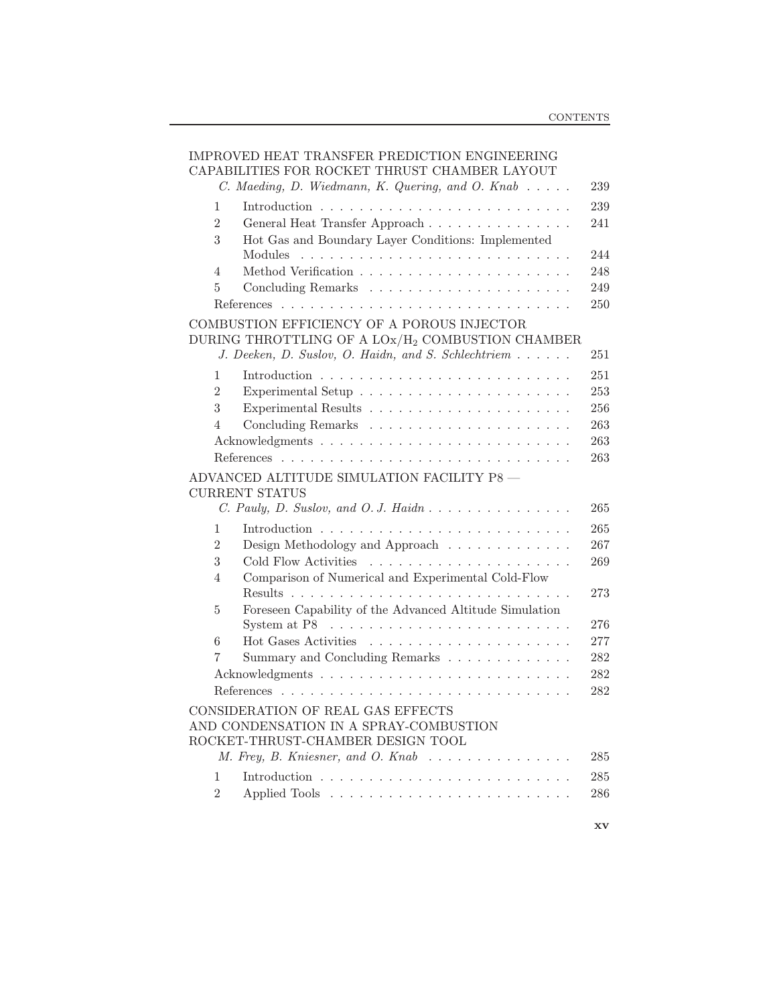|                | IMPROVED HEAT TRANSFER PREDICTION ENGINEERING<br>CAPABILITIES FOR ROCKET THRUST CHAMBER LAYOUT<br>C. Maeding, D. Wiedmann, K. Quering, and O. Knab    | 239 |
|----------------|-------------------------------------------------------------------------------------------------------------------------------------------------------|-----|
| 1              |                                                                                                                                                       | 239 |
| $\overline{2}$ | General Heat Transfer Approach                                                                                                                        | 241 |
| 3              | Hot Gas and Boundary Layer Conditions: Implemented                                                                                                    |     |
|                | Modules                                                                                                                                               | 244 |
| $\overline{4}$ |                                                                                                                                                       | 248 |
| 5              |                                                                                                                                                       | 249 |
|                |                                                                                                                                                       | 250 |
|                | COMBUSTION EFFICIENCY OF A POROUS INJECTOR                                                                                                            |     |
|                | DURING THROTTLING OF A $\text{LOx}/\text{H}_2$ COMBUSTION CHAMBER                                                                                     |     |
|                | J. Deeken, D. Suslov, O. Haidn, and S. Schlechtriem                                                                                                   | 251 |
| 1              |                                                                                                                                                       | 251 |
| $\overline{2}$ |                                                                                                                                                       | 253 |
| 3              |                                                                                                                                                       | 256 |
| 4              |                                                                                                                                                       | 263 |
|                |                                                                                                                                                       | 263 |
|                |                                                                                                                                                       | 263 |
|                | ADVANCED ALTITUDE SIMULATION FACILITY P8 -<br><b>CURRENT STATUS</b><br>C. Pauly, D. Suslov, and O. J. Haidn                                           | 265 |
| 1              |                                                                                                                                                       | 265 |
| $\overline{2}$ | Design Methodology and Approach $\dots \dots \dots \dots$                                                                                             | 267 |
| 3              | Cold Flow Activities                                                                                                                                  | 269 |
| $\overline{4}$ | Comparison of Numerical and Experimental Cold-Flow                                                                                                    |     |
|                |                                                                                                                                                       | 273 |
| 5              | Foreseen Capability of the Advanced Altitude Simulation                                                                                               |     |
|                | System at P8                                                                                                                                          | 276 |
| 6              |                                                                                                                                                       | 277 |
| 7              | Summary and Concluding Remarks                                                                                                                        | 282 |
|                |                                                                                                                                                       | 282 |
|                |                                                                                                                                                       | 282 |
|                | CONSIDERATION OF REAL GAS EFFECTS<br>AND CONDENSATION IN A SPRAY-COMBUSTION<br>ROCKET-THRUST-CHAMBER DESIGN TOOL<br>M. Frey, B. Kniesner, and O. Knab | 285 |
| 1              |                                                                                                                                                       | 285 |
| $\overline{2}$ |                                                                                                                                                       | 286 |
|                |                                                                                                                                                       |     |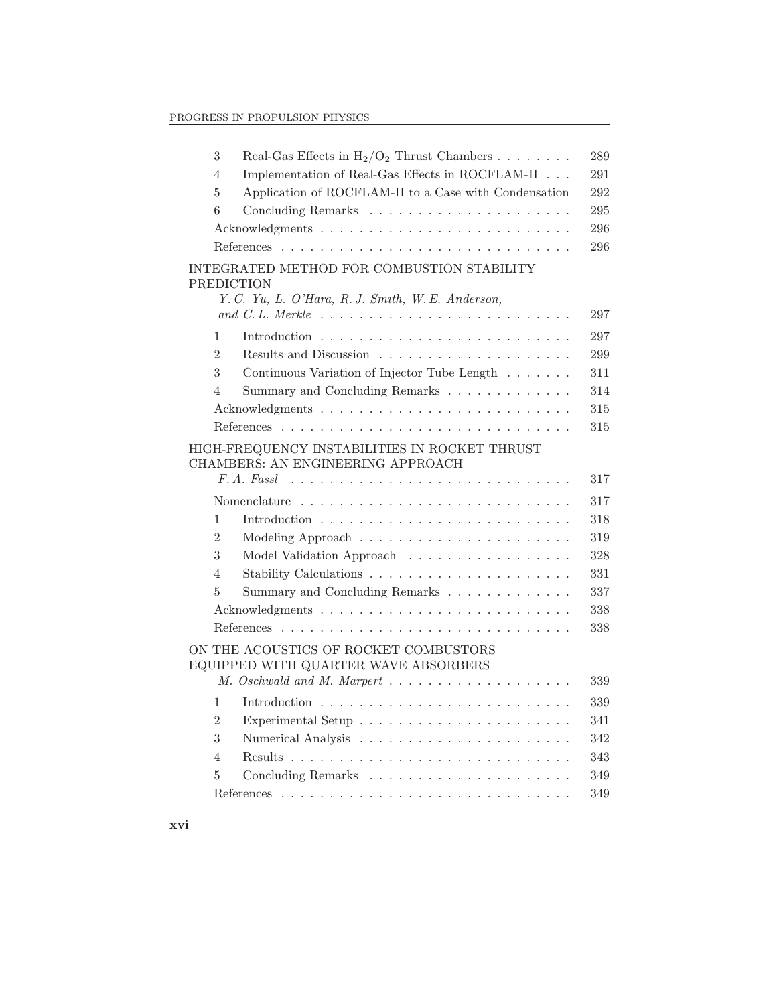| 3<br>Real-Gas Effects in $H_2/O_2$ Thrust Chambers                                                                   | 289 |
|----------------------------------------------------------------------------------------------------------------------|-----|
| Implementation of Real-Gas Effects in ROCFLAM-II $\ldots$<br>4                                                       | 291 |
| Application of ROCFLAM-II to a Case with Condensation<br>5                                                           | 292 |
| 6                                                                                                                    | 295 |
|                                                                                                                      | 296 |
|                                                                                                                      | 296 |
| INTEGRATED METHOD FOR COMBUSTION STABILITY<br><b>PREDICTION</b><br>Y. C. Yu, L. O'Hara, R. J. Smith, W. E. Anderson, | 297 |
| 1                                                                                                                    | 297 |
| $\overline{2}$                                                                                                       | 299 |
| 3<br>Continuous Variation of Injector Tube Length                                                                    | 311 |
| Summary and Concluding Remarks<br>$\overline{4}$                                                                     | 314 |
|                                                                                                                      | 315 |
|                                                                                                                      | 315 |
| HIGH-FREQUENCY INSTABILITIES IN ROCKET THRUST<br>CHAMBERS: AN ENGINEERING APPROACH                                   | 317 |
|                                                                                                                      | 317 |
| $\mathbf{1}$                                                                                                         | 318 |
| $\overline{2}$                                                                                                       | 319 |
| 3<br>Model Validation Approach                                                                                       | 328 |
| 4                                                                                                                    | 331 |
| 5<br>Summary and Concluding Remarks $\ldots \ldots \ldots \ldots$                                                    | 337 |
|                                                                                                                      | 338 |
|                                                                                                                      | 338 |
| ON THE ACOUSTICS OF ROCKET COMBUSTORS<br>EQUIPPED WITH QUARTER WAVE ABSORBERS<br>M. Oschwald and M. Marpert          | 339 |
| 1                                                                                                                    | 339 |
| $\overline{2}$                                                                                                       | 341 |
| 3                                                                                                                    | 342 |
| $\overline{4}$                                                                                                       | 343 |
| 5                                                                                                                    | 349 |
|                                                                                                                      | 349 |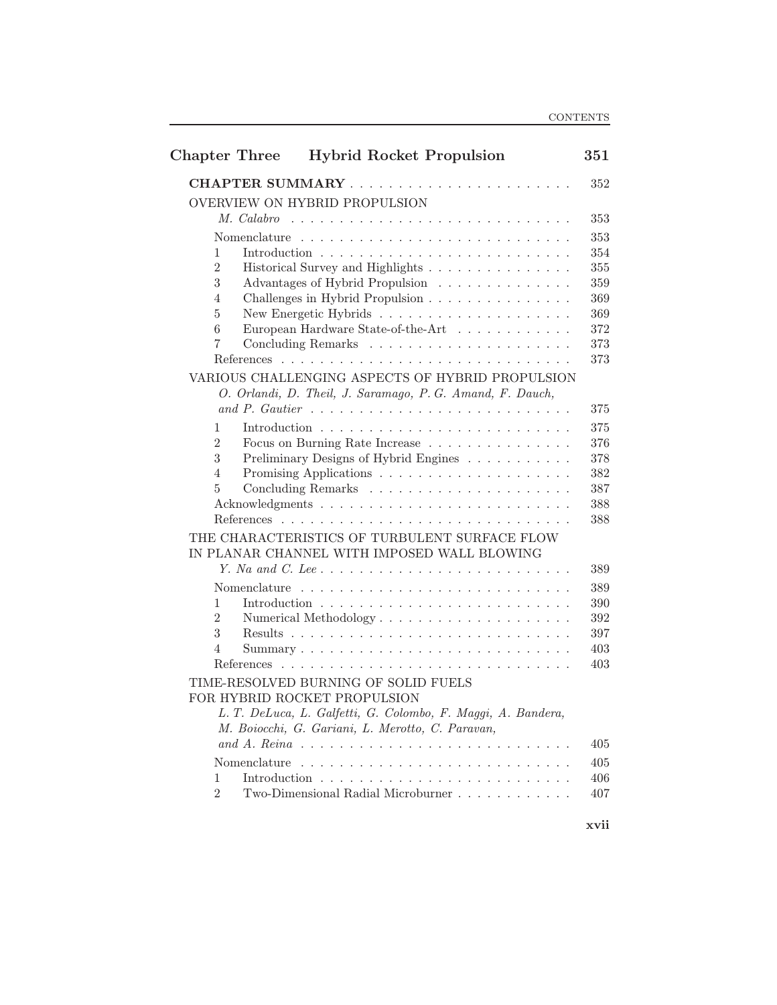| <b>Chapter Three</b> |            | <b>Hybrid Rocket Propulsion</b>                                               | 351        |
|----------------------|------------|-------------------------------------------------------------------------------|------------|
|                      |            |                                                                               | 352        |
|                      |            | OVERVIEW ON HYBRID PROPULSION                                                 |            |
|                      | M. Calabro |                                                                               | 353        |
|                      |            |                                                                               | 353        |
| 1                    |            |                                                                               | 354        |
| $\overline{2}$       |            | Historical Survey and Highlights                                              | 355        |
| 3                    |            | Advantages of Hybrid Propulsion                                               | 359        |
| 4                    |            | Challenges in Hybrid Propulsion                                               | 369        |
| 5                    |            |                                                                               | 369        |
| 6                    |            | European Hardware State-of-the-Art                                            | 372        |
| 7                    |            |                                                                               | 373        |
|                      | References |                                                                               | 373        |
|                      |            | VARIOUS CHALLENGING ASPECTS OF HYBRID PROPULSION                              |            |
|                      |            | O. Orlandi, D. Theil, J. Saramago, P. G. Amand, F. Dauch,                     |            |
|                      |            |                                                                               | 375        |
| 1                    |            |                                                                               | 375        |
| $\overline{2}$<br>3  |            | Focus on Burning Rate Increase                                                | 376        |
| 4                    |            | Preliminary Designs of Hybrid Engines                                         | 378<br>382 |
| 5                    |            |                                                                               | 387        |
|                      |            |                                                                               | 388        |
|                      |            |                                                                               | 388        |
|                      |            | THE CHARACTERISTICS OF TURBULENT SURFACE FLOW                                 |            |
|                      |            | IN PLANAR CHANNEL WITH IMPOSED WALL BLOWING                                   |            |
|                      |            |                                                                               | 389        |
|                      |            |                                                                               | 389        |
| 1                    |            | Introduction $\ldots \ldots \ldots \ldots \ldots \ldots \ldots \ldots \ldots$ | 390        |
| $\overline{2}$       |            | Numerical Methodology                                                         | 392        |
| 3                    |            |                                                                               | 397        |
| 4                    |            |                                                                               | 403        |
|                      |            |                                                                               | 403        |
|                      |            | TIME-RESOLVED BURNING OF SOLID FUELS                                          |            |
|                      |            | FOR HYBRID ROCKET PROPULSION                                                  |            |
|                      |            | L. T. DeLuca, L. Galfetti, G. Colombo, F. Maggi, A. Bandera,                  |            |
|                      |            | M. Boiocchi, G. Gariani, L. Merotto, C. Paravan,                              |            |
|                      |            |                                                                               | 405        |
|                      |            |                                                                               | 405        |
| 1                    |            |                                                                               | 406        |
| $\overline{2}$       |            | Two-Dimensional Radial Microburner                                            | 407        |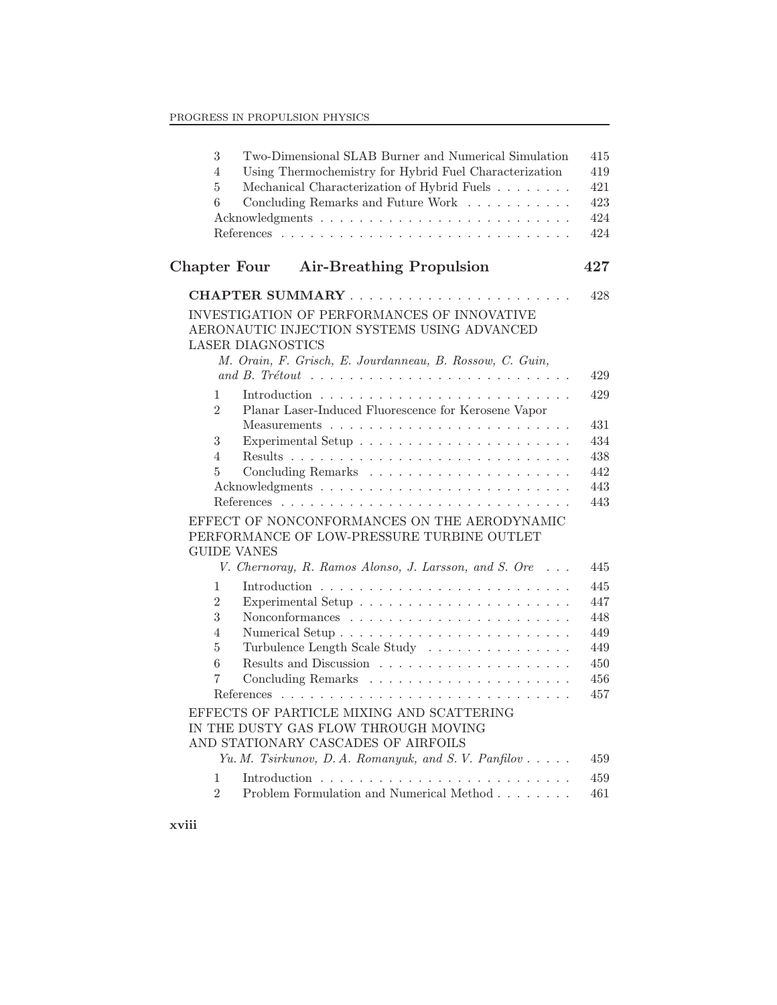| 3<br>4<br>$\overline{5}$<br>6                                  | Two-Dimensional SLAB Burner and Numerical Simulation<br>415<br>Using Thermochemistry for Hybrid Fuel Characterization<br>419<br>Mechanical Characterization of Hybrid Fuels<br>421<br>Concluding Remarks and Future Work<br>423<br>424<br>424                                           |
|----------------------------------------------------------------|-----------------------------------------------------------------------------------------------------------------------------------------------------------------------------------------------------------------------------------------------------------------------------------------|
| Chapter Four                                                   | <b>Air-Breathing Propulsion</b><br>427                                                                                                                                                                                                                                                  |
|                                                                | 428                                                                                                                                                                                                                                                                                     |
|                                                                | INVESTIGATION OF PERFORMANCES OF INNOVATIVE<br>AERONAUTIC INJECTION SYSTEMS USING ADVANCED<br><b>LASER DIAGNOSTICS</b><br>M. Orain, F. Grisch, E. Jourdanneau, B. Rossow, C. Guin,<br>and B. Trétout $\ldots \ldots \ldots \ldots \ldots \ldots \ldots \ldots \ldots \ldots$<br>429     |
| $\mathbf{1}$<br>$\overline{2}$                                 | 429<br>Planar Laser-Induced Fluorescence for Kerosene Vapor<br>431                                                                                                                                                                                                                      |
| 3<br>4<br>5                                                    | 434<br>438<br>442<br>443<br>443                                                                                                                                                                                                                                                         |
| <b>GUIDE VANES</b>                                             | EFFECT OF NONCONFORMANCES ON THE AERODYNAMIC<br>PERFORMANCE OF LOW-PRESSURE TURBINE OUTLET<br>V. Chernoray, R. Ramos Alonso, J. Larsson, and S. Ore<br>445                                                                                                                              |
| 1<br>$\overline{2}$<br>3<br>4<br>$\overline{5}$<br>6<br>7<br>1 | 445<br>447<br>448<br>449<br>Turbulence Length Scale Study<br>449<br>450<br>456<br>457<br>EFFECTS OF PARTICLE MIXING AND SCATTERING<br>IN THE DUSTY GAS FLOW THROUGH MOVING<br>AND STATIONARY CASCADES OF AIRFOILS<br>Yu. M. Tsirkunov, D. A. Romanyuk, and S. V. Panfilov<br>459<br>459 |
| $\overline{2}$                                                 | Problem Formulation and Numerical Method<br>461                                                                                                                                                                                                                                         |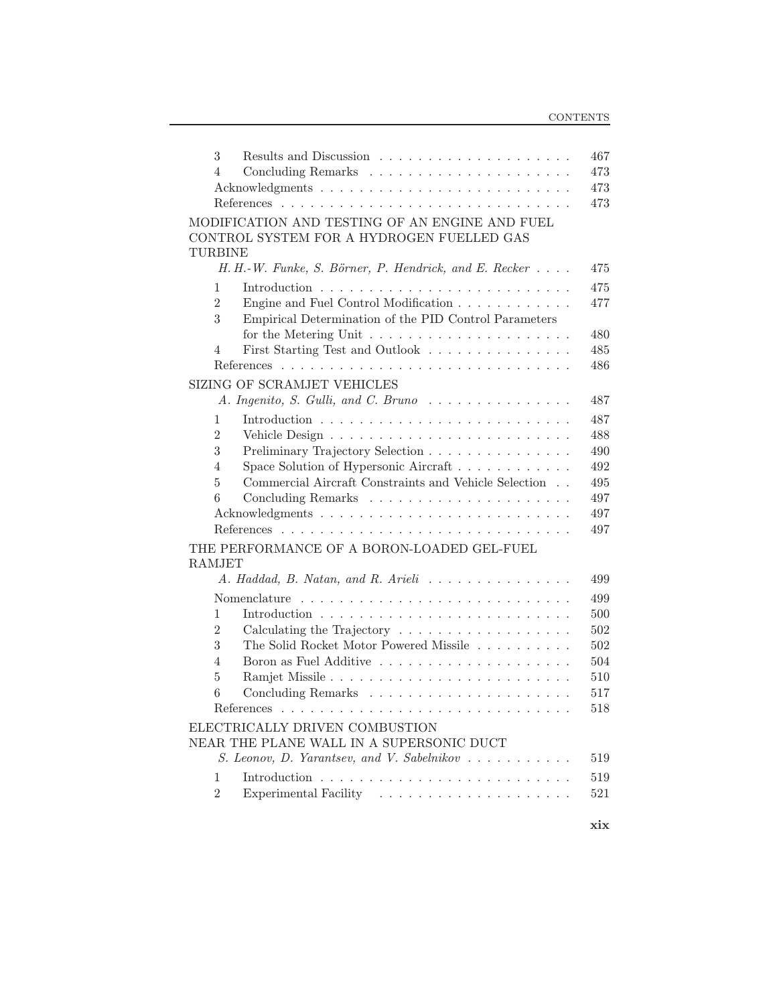| 3                                                                                        | 467 |
|------------------------------------------------------------------------------------------|-----|
| $\overline{4}$                                                                           | 473 |
|                                                                                          | 473 |
|                                                                                          | 473 |
| MODIFICATION AND TESTING OF AN ENGINE AND FUEL                                           |     |
| CONTROL SYSTEM FOR A HYDROGEN FUELLED GAS                                                |     |
| <b>TURBINE</b>                                                                           |     |
| H. H.-W. Funke, S. Börner, P. Hendrick, and E. Recker                                    | 475 |
| 1                                                                                        | 475 |
| $\overline{2}$<br>Engine and Fuel Control Modification                                   | 477 |
| 3<br>Empirical Determination of the PID Control Parameters                               |     |
| for the Metering Unit $\ldots \ldots \ldots \ldots \ldots \ldots$                        | 480 |
| First Starting Test and Outlook<br>$\overline{4}$                                        | 485 |
|                                                                                          | 486 |
| SIZING OF SCRAMJET VEHICLES                                                              |     |
| A. Ingenito, S. Gulli, and C. Bruno<br>.                                                 | 487 |
| 1                                                                                        | 487 |
| $\overline{2}$                                                                           | 488 |
| 3<br>Preliminary Trajectory Selection                                                    | 490 |
| Space Solution of Hypersonic Aircraft<br>$\overline{4}$                                  | 492 |
| Commercial Aircraft Constraints and Vehicle Selection<br>5                               | 495 |
| 6                                                                                        | 497 |
|                                                                                          | 497 |
|                                                                                          | 497 |
| THE PERFORMANCE OF A BORON-LOADED GEL-FUEL                                               |     |
| <b>RAMJET</b>                                                                            |     |
| A. Haddad, B. Natan, and R. Arieli                                                       | 499 |
|                                                                                          | 499 |
| 1                                                                                        | 500 |
| $\overline{2}$<br>Calculating the Trajectory $\dots \dots \dots \dots \dots \dots \dots$ | 502 |
| 3<br>The Solid Rocket Motor Powered Missile                                              | 502 |
| $\overline{4}$                                                                           | 504 |
| 5                                                                                        | 510 |
| 6                                                                                        | 517 |
|                                                                                          | 518 |
| ELECTRICALLY DRIVEN COMBUSTION                                                           |     |
| NEAR THE PLANE WALL IN A SUPERSONIC DUCT                                                 |     |
| S. Leonov, D. Yarantsev, and V. Sabelnikov                                               | 519 |
| 1                                                                                        | 519 |
| $\overline{2}$                                                                           | 521 |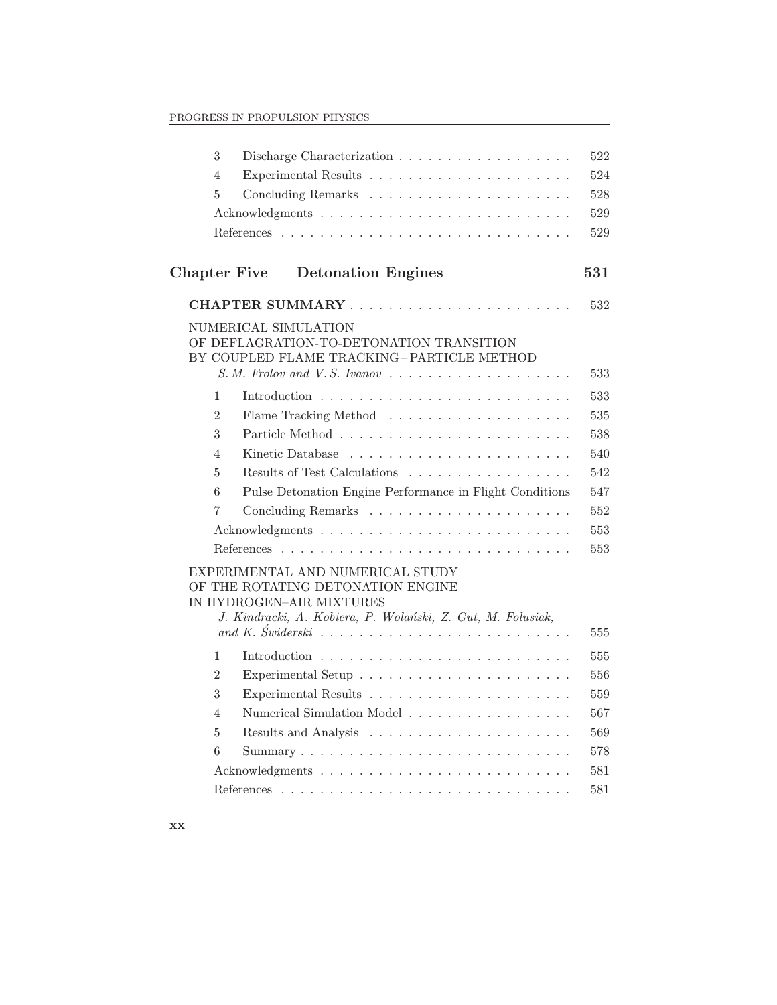| 3                   |                                                                                                                                                                                                                                                       | 522 |
|---------------------|-------------------------------------------------------------------------------------------------------------------------------------------------------------------------------------------------------------------------------------------------------|-----|
| $\overline{4}$      | Experimental Results $\dots \dots \dots \dots \dots \dots \dots \dots$                                                                                                                                                                                | 524 |
| 5                   |                                                                                                                                                                                                                                                       | 528 |
|                     |                                                                                                                                                                                                                                                       | 529 |
|                     |                                                                                                                                                                                                                                                       | 529 |
| <b>Chapter Five</b> | <b>Detonation Engines</b>                                                                                                                                                                                                                             | 531 |
|                     |                                                                                                                                                                                                                                                       | 532 |
|                     | NUMERICAL SIMULATION<br>OF DEFLAGRATION-TO-DETONATION TRANSITION<br>BY COUPLED FLAME TRACKING-PARTICLE METHOD                                                                                                                                         | 533 |
| $\mathbf{1}$        |                                                                                                                                                                                                                                                       | 533 |
| $\overline{2}$      |                                                                                                                                                                                                                                                       | 535 |
| 3                   |                                                                                                                                                                                                                                                       | 538 |
| $\overline{4}$      |                                                                                                                                                                                                                                                       | 540 |
| 5                   | Results of Test Calculations                                                                                                                                                                                                                          | 542 |
| 6                   | Pulse Detonation Engine Performance in Flight Conditions                                                                                                                                                                                              | 547 |
| $\overline{7}$      |                                                                                                                                                                                                                                                       | 552 |
|                     |                                                                                                                                                                                                                                                       | 553 |
|                     |                                                                                                                                                                                                                                                       | 553 |
|                     | EXPERIMENTAL AND NUMERICAL STUDY<br>OF THE ROTATING DETONATION ENGINE<br>IN HYDROGEN-AIR MIXTURES<br>J. Kindracki, A. Kobiera, P. Wolański, Z. Gut, M. Folusiak,<br>and K. Swiderski $\ldots \ldots \ldots \ldots \ldots \ldots \ldots \ldots \ldots$ | 555 |
| $\mathbf{1}$        | Introduction $\ldots \ldots \ldots \ldots \ldots \ldots \ldots \ldots \ldots$                                                                                                                                                                         | 555 |
| $\overline{2}$      |                                                                                                                                                                                                                                                       | 556 |
| 3                   |                                                                                                                                                                                                                                                       | 559 |
| 4                   | Numerical Simulation Model                                                                                                                                                                                                                            | 567 |
| 5                   |                                                                                                                                                                                                                                                       | 569 |
| 6                   |                                                                                                                                                                                                                                                       | 578 |
|                     |                                                                                                                                                                                                                                                       | 581 |
|                     |                                                                                                                                                                                                                                                       | 581 |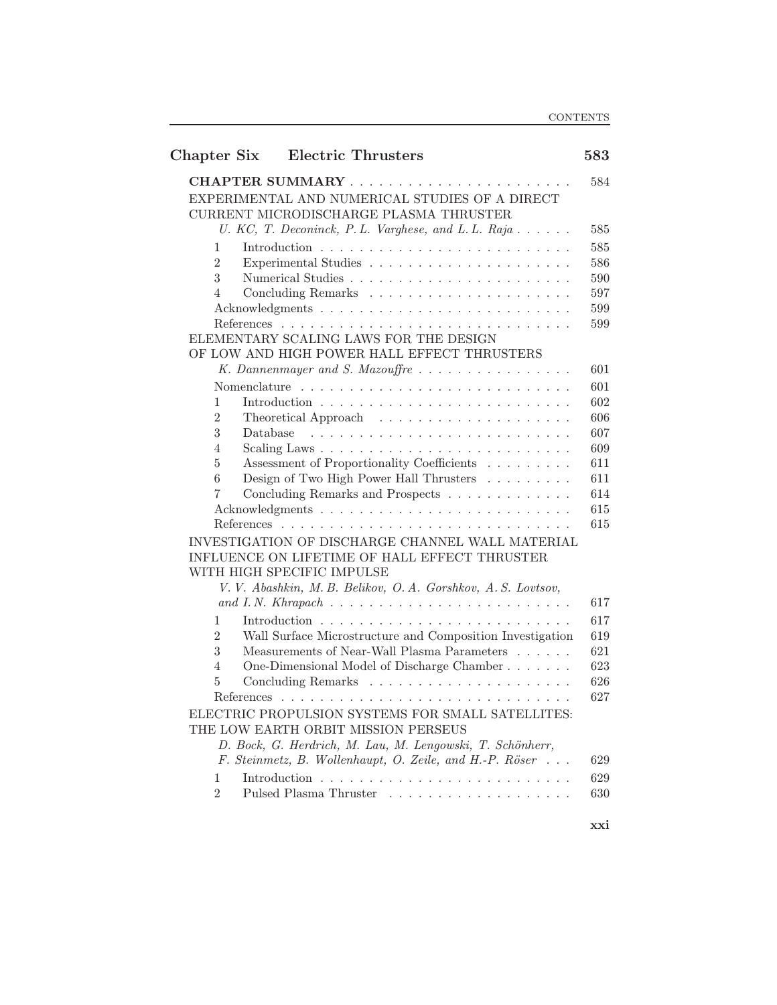| Chapter Six    | <b>Electric Thrusters</b>                                                                | 583        |
|----------------|------------------------------------------------------------------------------------------|------------|
|                |                                                                                          | 584        |
|                | EXPERIMENTAL AND NUMERICAL STUDIES OF A DIRECT<br>CURRENT MICRODISCHARGE PLASMA THRUSTER |            |
|                | U. KC, T. Deconinck, P. L. Varghese, and L. L. Raja                                      | 585        |
| 1              |                                                                                          | 585        |
| $\overline{2}$ |                                                                                          | 586        |
| 3              |                                                                                          | 590        |
| 4              |                                                                                          | 597        |
|                |                                                                                          | 599        |
|                |                                                                                          | 599        |
|                | ELEMENTARY SCALING LAWS FOR THE DESIGN                                                   |            |
|                | OF LOW AND HIGH POWER HALL EFFECT THRUSTERS                                              |            |
|                |                                                                                          | 601        |
|                |                                                                                          | 601        |
| $\mathbf{1}$   |                                                                                          | 602        |
| $\overline{2}$ | Theoretical Approach $\ldots \ldots \ldots \ldots \ldots \ldots$                         | 606        |
| 3              | Database                                                                                 | 607        |
| 4              |                                                                                          | 609        |
| 5              | Assessment of Proportionality Coefficients                                               | 611        |
| 6<br>7         | Design of Two High Power Hall Thrusters                                                  | 611<br>614 |
|                | Concluding Remarks and Prospects                                                         | 615        |
|                |                                                                                          | 615        |
|                | INVESTIGATION OF DISCHARGE CHANNEL WALL MATERIAL                                         |            |
|                | INFLUENCE ON LIFETIME OF HALL EFFECT THRUSTER                                            |            |
|                | WITH HIGH SPECIFIC IMPULSE                                                               |            |
|                | V. V. Abashkin, M. B. Belikov, O. A. Gorshkov, A. S. Lovtsov,                            |            |
|                |                                                                                          | 617        |
| 1              |                                                                                          | 617        |
| $\overline{2}$ | Wall Surface Microstructure and Composition Investigation                                | 619        |
| 3              | Measurements of Near-Wall Plasma Parameters                                              | 621        |
| 4              | One-Dimensional Model of Discharge Chamber                                               | 623        |
| 5              |                                                                                          | 626        |
|                | References                                                                               | 627        |
|                | ELECTRIC PROPULSION SYSTEMS FOR SMALL SATELLITES:                                        |            |
|                | THE LOW EARTH ORBIT MISSION PERSEUS                                                      |            |
|                | D. Bock, G. Herdrich, M. Lau, M. Lengowski, T. Schönherr,                                |            |
|                | F. Steinmetz, B. Wollenhaupt, O. Zeile, and H.-P. Röser                                  | 629        |
| 1              |                                                                                          | 629        |
| $\overline{2}$ |                                                                                          | 630        |
|                |                                                                                          |            |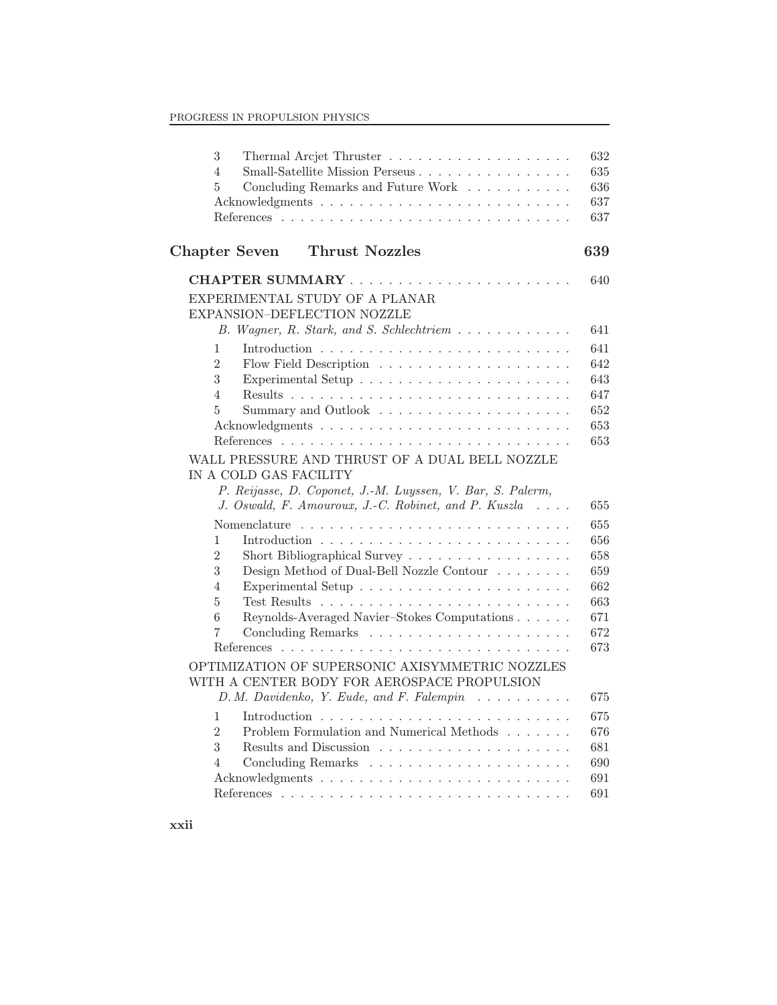| 3<br>Small-Satellite Mission Perseus<br>$\overline{4}$<br>5<br>Concluding Remarks and Future Work                                                                       | 632<br>635<br>636<br>637<br>637 |
|-------------------------------------------------------------------------------------------------------------------------------------------------------------------------|---------------------------------|
| <b>Thrust Nozzles</b><br><b>Chapter Seven</b>                                                                                                                           | 639                             |
|                                                                                                                                                                         | 640                             |
| EXPERIMENTAL STUDY OF A PLANAR<br>EXPANSION-DEFLECTION NOZZLE                                                                                                           |                                 |
| B. Wagner, R. Stark, and S. Schlechtriem                                                                                                                                | 641                             |
| $\mathbf{1}$                                                                                                                                                            | 641                             |
| $\overline{2}$                                                                                                                                                          | 642                             |
| 3                                                                                                                                                                       | 643                             |
| $\overline{4}$                                                                                                                                                          | 647                             |
| 5                                                                                                                                                                       | 652<br>653                      |
|                                                                                                                                                                         | 653                             |
| IN A COLD GAS FACILITY<br>P. Reijasse, D. Coponet, J.-M. Luyssen, V. Bar, S. Palerm,<br>J. Oswald, F. Amouroux, J.-C. Robinet, and P. Kuszla<br>$\sim 100$ km s $^{-1}$ | 655                             |
|                                                                                                                                                                         | 655                             |
| 1                                                                                                                                                                       | 656                             |
| $\overline{2}$<br>Short Bibliographical Survey                                                                                                                          | 658                             |
| 3<br>Design Method of Dual-Bell Nozzle Contour                                                                                                                          | 659                             |
| $\overline{4}$<br>5                                                                                                                                                     | 662<br>663                      |
| 6<br>Reynolds-Averaged Navier-Stokes Computations                                                                                                                       | 671                             |
| 7                                                                                                                                                                       | 672                             |
|                                                                                                                                                                         | 673                             |
| OPTIMIZATION OF SUPERSONIC AXISYMMETRIC NOZZLES<br>WITH A CENTER BODY FOR AEROSPACE PROPULSION                                                                          |                                 |
| D. M. Davidenko, Y. Eude, and F. Falempin                                                                                                                               | 675                             |
| 1                                                                                                                                                                       | 675                             |
| Problem Formulation and Numerical Methods $\ldots \ldots$<br>$\overline{2}$                                                                                             | 676                             |
| 3<br>4                                                                                                                                                                  | 681<br>690                      |
|                                                                                                                                                                         | 691                             |
|                                                                                                                                                                         | 691                             |
|                                                                                                                                                                         |                                 |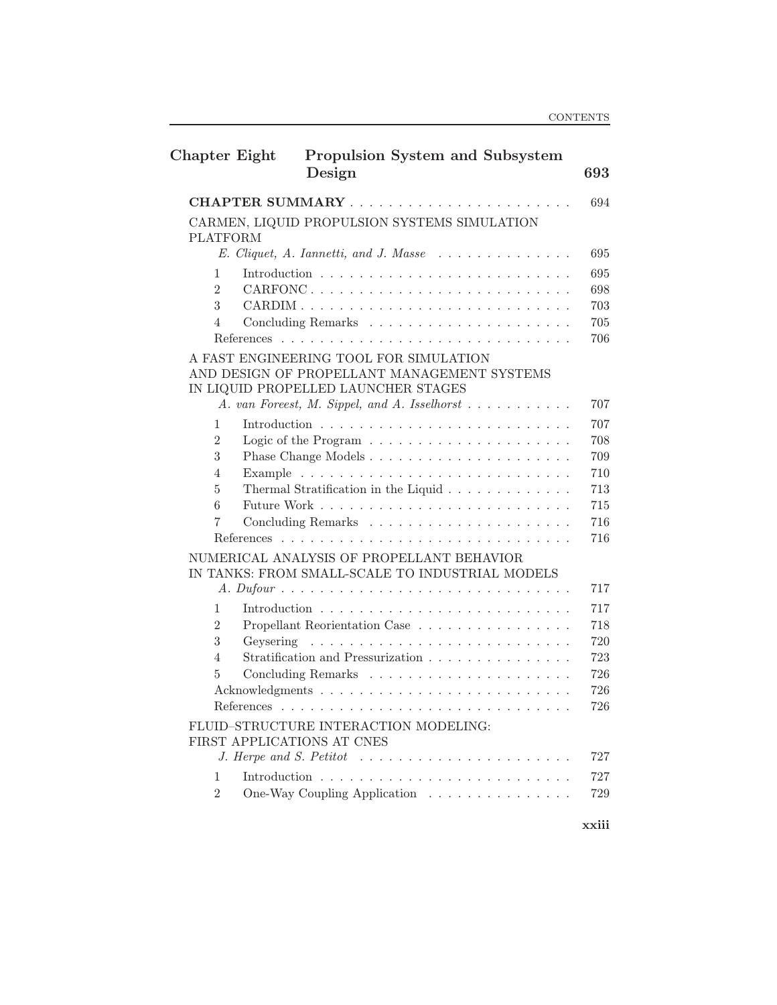| <b>Chapter Eight</b> | Propulsion System and Subsystem<br>Design                                                    | 693        |
|----------------------|----------------------------------------------------------------------------------------------|------------|
|                      |                                                                                              | 694        |
| <b>PLATFORM</b>      | CARMEN, LIQUID PROPULSION SYSTEMS SIMULATION                                                 |            |
|                      | $E. \nClique t, A. \nIannetti, and J. \nMasse \n \n \n \n$                                   | 695        |
| 1                    |                                                                                              | 695        |
| $\overline{2}$       |                                                                                              | 698        |
| 3<br>4               |                                                                                              | 703<br>705 |
|                      |                                                                                              | 706        |
|                      | A FAST ENGINEERING TOOL FOR SIMULATION                                                       |            |
|                      | AND DESIGN OF PROPELLANT MANAGEMENT SYSTEMS                                                  |            |
|                      | IN LIQUID PROPELLED LAUNCHER STAGES                                                          |            |
|                      | A. van Foreest, M. Sippel, and A. Isselhorst                                                 | 707        |
| 1                    |                                                                                              | 707        |
| $\overline{2}$<br>3  |                                                                                              | 708<br>709 |
| 4                    |                                                                                              | 710        |
| 5                    | Thermal Stratification in the Liquid                                                         | 713        |
| 6                    |                                                                                              | 715        |
| 7                    |                                                                                              | 716        |
|                      |                                                                                              | 716        |
|                      | NUMERICAL ANALYSIS OF PROPELLANT BEHAVIOR<br>IN TANKS: FROM SMALL-SCALE TO INDUSTRIAL MODELS |            |
|                      |                                                                                              | 717        |
| $\mathbf{1}$         |                                                                                              | 717        |
| $\overline{2}$       | Propellant Reorientation Case                                                                | 718        |
| 3                    |                                                                                              | 720<br>723 |
| 4<br>5               | Stratification and Pressurization $\ldots$ , $\ldots$ , $\ldots$ , $\ldots$                  | 726        |
|                      |                                                                                              | 726        |
|                      |                                                                                              | 726        |
|                      | FLUID-STRUCTURE INTERACTION MODELING:<br>FIRST APPLICATIONS AT CNES                          |            |
|                      | J. Herpe and S. Petitot $\ldots \ldots \ldots \ldots \ldots \ldots \ldots$                   | 727        |
| 1<br>$\overline{2}$  | One-Way Coupling Application                                                                 | 727<br>729 |
|                      |                                                                                              |            |